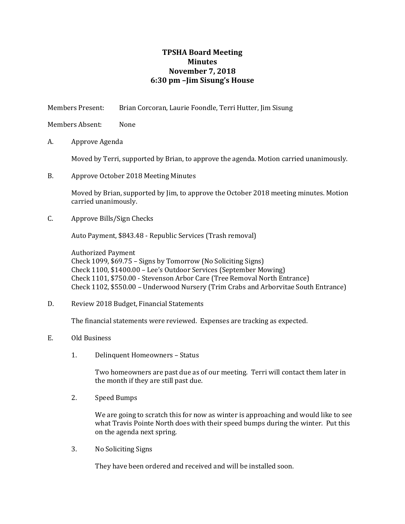## **TPSHA Board Meeting Minutes November 7, 2018 6:30 pm –Jim Sisung's House**

Members Present: Brian Corcoran, Laurie Foondle, Terri Hutter, Jim Sisung

Members Absent: None

A. Approve Agenda

Moved by Terri, supported by Brian, to approve the agenda. Motion carried unanimously.

B. Approve October 2018 Meeting Minutes

Moved by Brian, supported by Jim, to approve the October 2018 meeting minutes. Motion carried unanimously.

C. Approve Bills/Sign Checks

Auto Payment, \$843.48 - Republic Services (Trash removal)

Authorized Payment Check 1099, \$69.75 – Signs by Tomorrow (No Soliciting Signs) Check 1100, \$1400.00 – Lee's Outdoor Services (September Mowing) Check 1101, \$750.00 - Stevenson Arbor Care (Tree Removal North Entrance) Check 1102, \$550.00 – Underwood Nursery (Trim Crabs and Arborvitae South Entrance)

D. Review 2018 Budget, Financial Statements

The financial statements were reviewed. Expenses are tracking as expected.

- E. Old Business
	- 1. Delinquent Homeowners Status

Two homeowners are past due as of our meeting. Terri will contact them later in the month if they are still past due.

2. Speed Bumps

We are going to scratch this for now as winter is approaching and would like to see what Travis Pointe North does with their speed bumps during the winter. Put this on the agenda next spring.

3. No Soliciting Signs

They have been ordered and received and will be installed soon.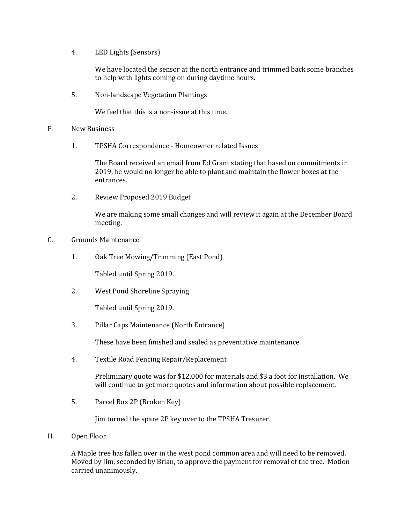4. LED Lights (Sensors)

We have located the sensor at the north entrance and trimmed back some branches to help with lights coming on during daytime hours.

5. Non-landscape Vegetation Plantings

We feel that this is a non-issue at this time.

## F. New Business

1. TPSHA Correspondence - Homeowner related Issues

The Board received an email from Ed Grant stating that based on commitments in 2019, he would no longer be able to plant and maintain the flower boxes at the entrances.

2. Review Proposed 2019 Budget

We are making some small changes and will review it again at the December Board meeting.

## G. Grounds Maintenance

1. Oak Tree Mowing/Trimming (East Pond)

Tabled until Spring 2019.

2. West Pond Shoreline Spraying

Tabled until Spring 2019.

3. Pillar Caps Maintenance (North Entrance)

These have been finished and sealed as preventative maintenance.

4. Textile Road Fencing Repair/Replacement

Preliminary quote was for \$12,000 for materials and \$3 a foot for installation. We will continue to get more quotes and information about possible replacement.

5. Parcel Box 2P (Broken Key)

Jim turned the spare 2P key over to the TPSHA Tresurer.

H. Open Floor

A Maple tree has fallen over in the west pond common area and will need to be removed. Moved by Jim, seconded by Brian, to approve the payment for removal of the tree. Motion carried unanimously.